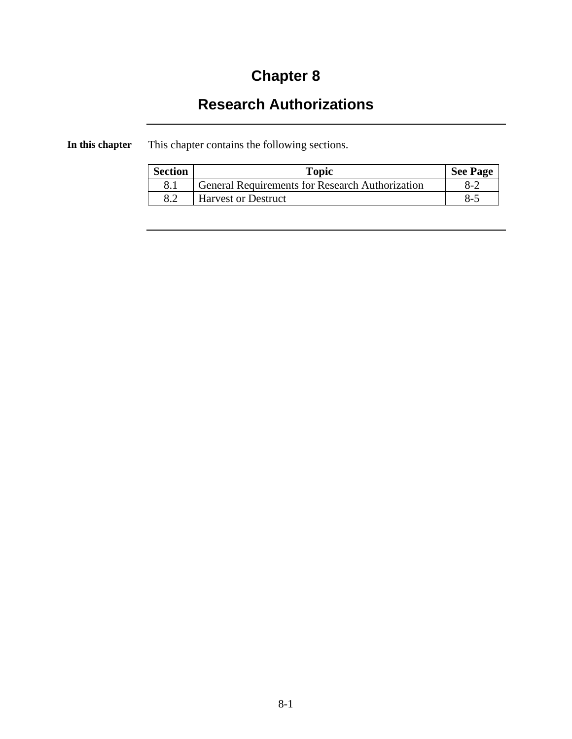# **Chapter 8**

# **Research Authorizations**

**In this chapter** This chapter contains the following sections.

| <b>Section</b> | Topic                                                  | <b>See Page</b> |
|----------------|--------------------------------------------------------|-----------------|
|                | <b>General Requirements for Research Authorization</b> | $8-2$           |
| 8.2            | <b>Harvest or Destruct</b>                             | $8-5$           |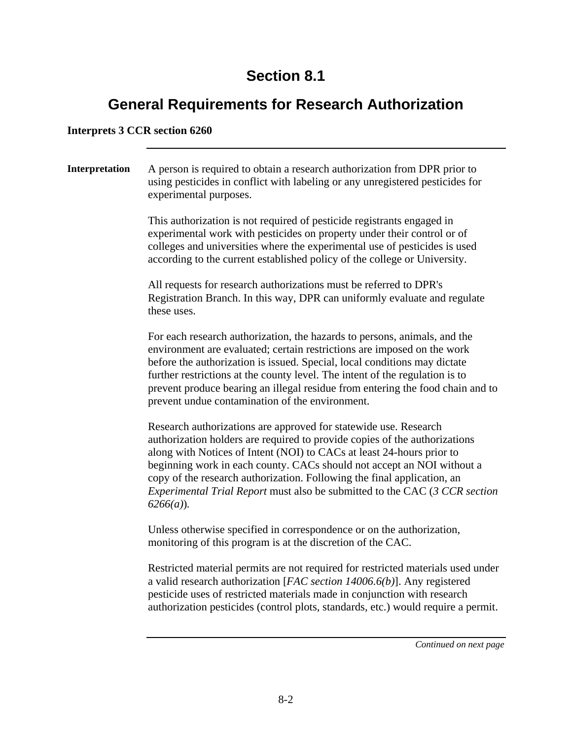## **Section 8.1**

## **General Requirements for Research Authorization**

#### **Interprets 3 CCR section 6260**

**Interpretation** A person is required to obtain a research authorization from DPR prior to using pesticides in conflict with labeling or any unregistered pesticides for experimental purposes. This authorization is not required of pesticide registrants engaged in experimental work with pesticides on property under their control or of colleges and universities where the experimental use of pesticides is used according to the current established policy of the college or University. All requests for research authorizations must be referred to DPR's Registration Branch. In this way, DPR can uniformly evaluate and regulate these uses. For each research authorization, the hazards to persons, animals, and the environment are evaluated; certain restrictions are imposed on the work before the authorization is issued. Special, local conditions may dictate further restrictions at the county level. The intent of the regulation is to prevent produce bearing an illegal residue from entering the food chain and to prevent undue contamination of the environment. Research authorizations are approved for statewide use. Research authorization holders are required to provide copies of the authorizations along with Notices of Intent (NOI) to CACs at least 24-hours prior to beginning work in each county. CACs should not accept an NOI without a copy of the research authorization. Following the final application, an *Experimental Trial Report* must also be submitted to the CAC (*3 CCR section 6266(a)*)*.* Unless otherwise specified in correspondence or on the authorization, monitoring of this program is at the discretion of the CAC.

Restricted material permits are not required for restricted materials used under a valid research authorization [*FAC section 14006.6(b)*]. Any registered pesticide uses of restricted materials made in conjunction with research authorization pesticides (control plots, standards, etc.) would require a permit.

*Continued on next page*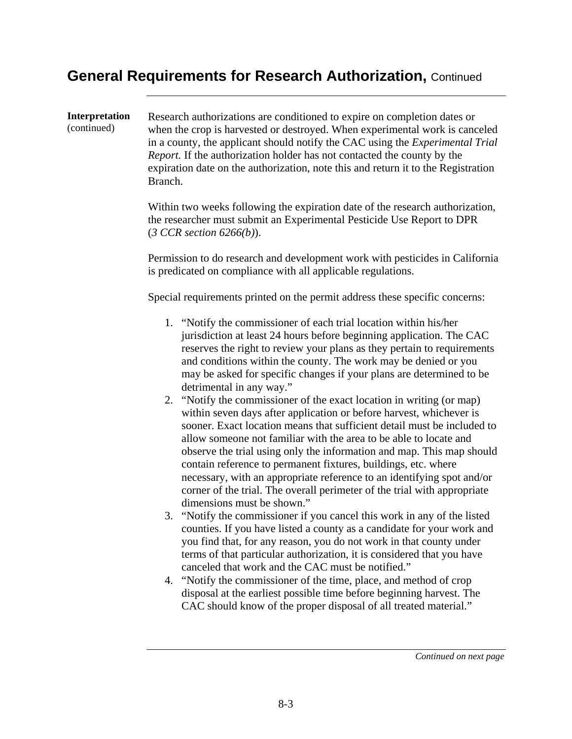### **General Requirements for Research Authorization,** Continued

**Interpretation**  (continued) Research authorizations are conditioned to expire on completion dates or when the crop is harvested or destroyed. When experimental work is canceled in a county, the applicant should notify the CAC using the *Experimental Trial Report.* If the authorization holder has not contacted the county by the expiration date on the authorization, note this and return it to the Registration Branch. Within two weeks following the expiration date of the research authorization, the researcher must submit an Experimental Pesticide Use Report to DPR (*3 CCR section 6266(b)*). Permission to do research and development work with pesticides in California is predicated on compliance with all applicable regulations. Special requirements printed on the permit address these specific concerns: 1. "Notify the commissioner of each trial location within his/her jurisdiction at least 24 hours before beginning application. The CAC reserves the right to review your plans as they pertain to requirements and conditions within the county. The work may be denied or you may be asked for specific changes if your plans are determined to be detrimental in any way." 2. "Notify the commissioner of the exact location in writing (or map) within seven days after application or before harvest, whichever is sooner. Exact location means that sufficient detail must be included to allow someone not familiar with the area to be able to locate and observe the trial using only the information and map. This map should contain reference to permanent fixtures, buildings, etc. where necessary, with an appropriate reference to an identifying spot and/or corner of the trial. The overall perimeter of the trial with appropriate dimensions must be shown." 3. "Notify the commissioner if you cancel this work in any of the listed counties. If you have listed a county as a candidate for your work and you find that, for any reason, you do not work in that county under terms of that particular authorization, it is considered that you have canceled that work and the CAC must be notified." 4. "Notify the commissioner of the time, place, and method of crop disposal at the earliest possible time before beginning harvest. The CAC should know of the proper disposal of all treated material."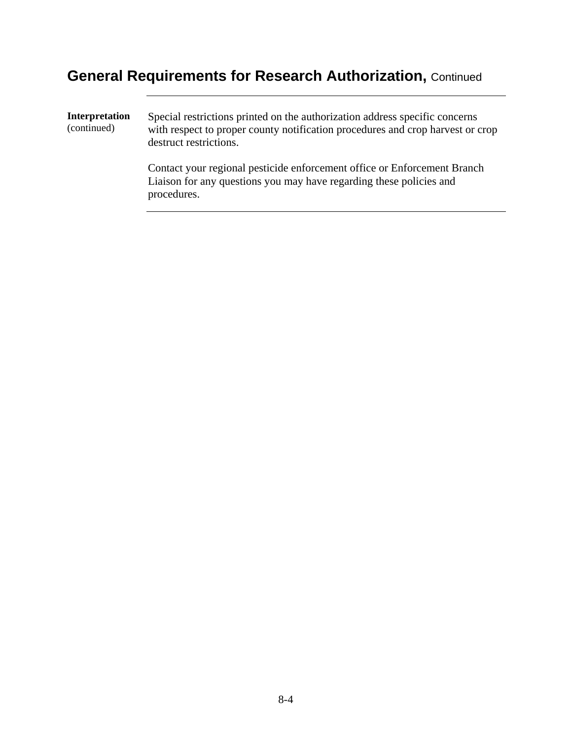# **General Requirements for Research Authorization,** Continued

| Interpretation<br>(continued) | Special restrictions printed on the authorization address specific concerns<br>with respect to proper county notification procedures and crop harvest or crop<br>destruct restrictions. |
|-------------------------------|-----------------------------------------------------------------------------------------------------------------------------------------------------------------------------------------|
|                               | Contact your regional pesticide enforcement office or Enforcement Branch<br>Liaison for any questions you may have regarding these policies and<br>procedures.                          |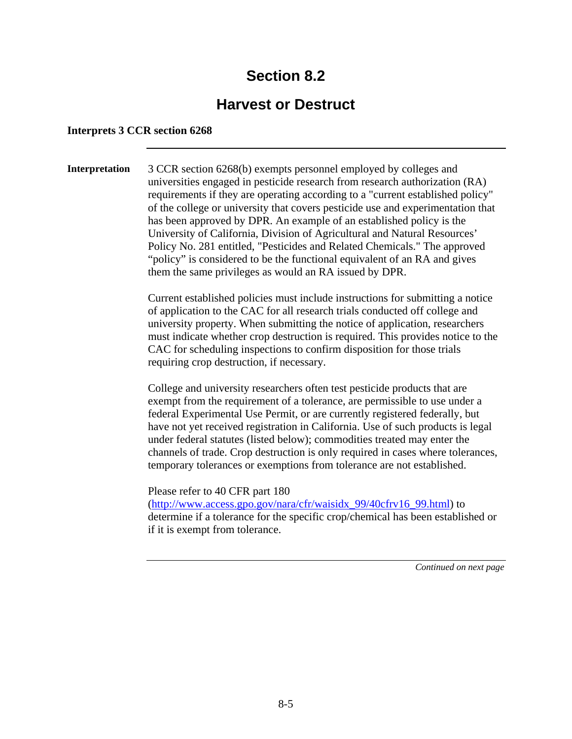## **Section 8.2**

### **Harvest or Destruct**

#### **Interprets 3 CCR section 6268**

**Interpretation** 3 CCR section 6268(b) exempts personnel employed by colleges and universities engaged in pesticide research from research authorization (RA) requirements if they are operating according to a "current established policy" of the college or university that covers pesticide use and experimentation that has been approved by DPR. An example of an established policy is the University of California, Division of Agricultural and Natural Resources' Policy No. 281 entitled, "Pesticides and Related Chemicals." The approved "policy" is considered to be the functional equivalent of an RA and gives them the same privileges as would an RA issued by DPR.

> Current established policies must include instructions for submitting a notice of application to the CAC for all research trials conducted off college and university property. When submitting the notice of application, researchers must indicate whether crop destruction is required. This provides notice to the CAC for scheduling inspections to confirm disposition for those trials requiring crop destruction, if necessary.

> College and university researchers often test pesticide products that are exempt from the requirement of a tolerance, are permissible to use under a federal Experimental Use Permit, or are currently registered federally, but have not yet received registration in California. Use of such products is legal under federal statutes (listed below); commodities treated may enter the channels of trade. Crop destruction is only required in cases where tolerances, temporary tolerances or exemptions from tolerance are not established.

> Please refer to 40 CFR part 180 (http://www.access.gpo.gov/nara/cfr/waisidx\_99/40cfrv16\_99.html) to determine if a tolerance for the specific crop/chemical has been established or if it is exempt from tolerance.

> > *Continued on next page*